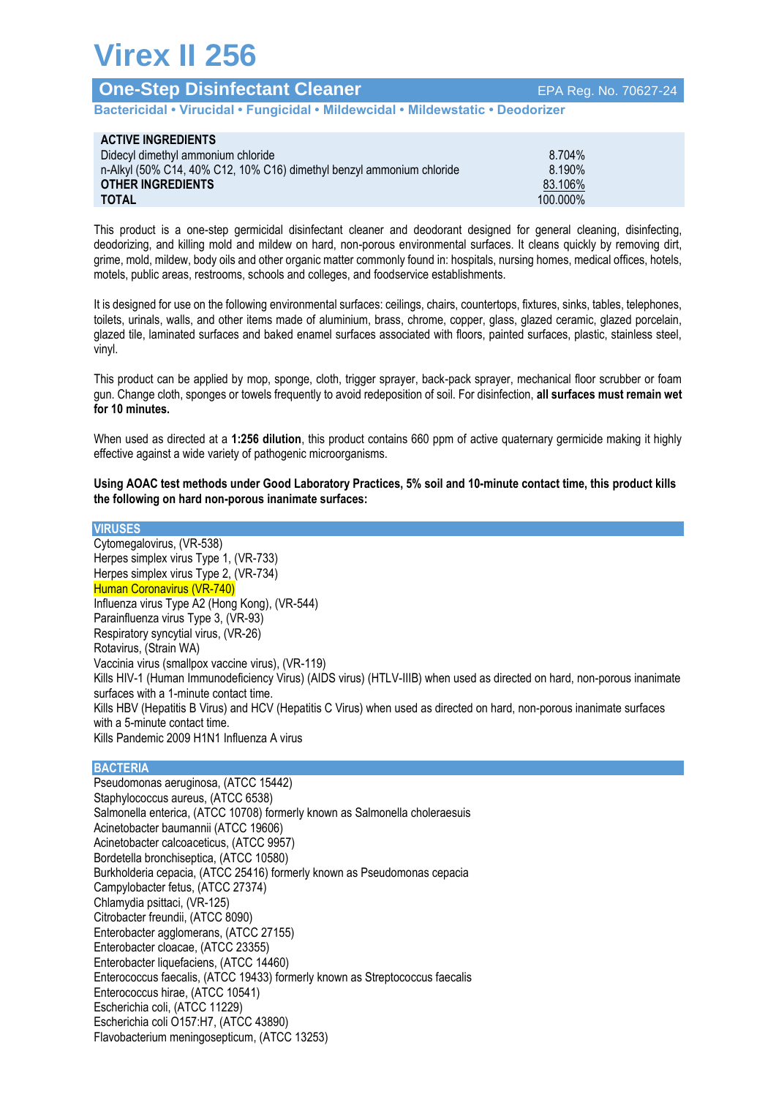# **Virex II 256**

| <b>One-Step Disinfectant Cleaner</b>                                            | EPA Reg. No. 70627-24 |
|---------------------------------------------------------------------------------|-----------------------|
| Bactericidal • Virucidal • Fungicidal • Mildewcidal • Mildewstatic • Deodorizer |                       |

| <b>ACTIVE INGREDIENTS</b>                                             |          |
|-----------------------------------------------------------------------|----------|
| Didecyl dimethyl ammonium chloride                                    | 8.704%   |
| n-Alkyl (50% C14, 40% C12, 10% C16) dimethyl benzyl ammonium chloride | 8.190%   |
| <b>OTHER INGREDIENTS</b>                                              | 83.106%  |
| <b>TOTAL</b>                                                          | 100.000% |

This product is a one-step germicidal disinfectant cleaner and deodorant designed for general cleaning, disinfecting, deodorizing, and killing mold and mildew on hard, non-porous environmental surfaces. It cleans quickly by removing dirt, grime, mold, mildew, body oils and other organic matter commonly found in: hospitals, nursing homes, medical offices, hotels, motels, public areas, restrooms, schools and colleges, and foodservice establishments.

It is designed for use on the following environmental surfaces: ceilings, chairs, countertops, fixtures, sinks, tables, telephones, toilets, urinals, walls, and other items made of aluminium, brass, chrome, copper, glass, glazed ceramic, glazed porcelain, glazed tile, laminated surfaces and baked enamel surfaces associated with floors, painted surfaces, plastic, stainless steel, vinyl.

This product can be applied by mop, sponge, cloth, trigger sprayer, back-pack sprayer, mechanical floor scrubber or foam gun. Change cloth, sponges or towels frequently to avoid redeposition of soil. For disinfection, **all surfaces must remain wet for 10 minutes.**

When used as directed at a **1:256 dilution**, this product contains 660 ppm of active quaternary germicide making it highly effective against a wide variety of pathogenic microorganisms.

**Using AOAC test methods under Good Laboratory Practices, 5% soil and 10-minute contact time, this product kills the following on hard non-porous inanimate surfaces:**

**VIRUSES** Cytomegalovirus, (VR-538) Herpes simplex virus Type 1, (VR-733) Herpes simplex virus Type 2, (VR-734) Human Coronavirus (VR-740) Influenza virus Type A2 (Hong Kong), (VR-544) Parainfluenza virus Type 3, (VR-93) Respiratory syncytial virus, (VR-26) Rotavirus, (Strain WA) Vaccinia virus (smallpox vaccine virus), (VR-119) Kills HIV-1 (Human Immunodeficiency Virus) (AIDS virus) (HTLV-IIIB) when used as directed on hard, non-porous inanimate surfaces with a 1-minute contact time. Kills HBV (Hepatitis B Virus) and HCV (Hepatitis C Virus) when used as directed on hard, non-porous inanimate surfaces with a 5-minute contact time. Kills Pandemic 2009 H1N1 Influenza A virus

## **BACTERIA**

Pseudomonas aeruginosa, (ATCC 15442) Staphylococcus aureus, (ATCC 6538) Salmonella enterica, (ATCC 10708) formerly known as Salmonella choleraesuis Acinetobacter baumannii (ATCC 19606) Acinetobacter calcoaceticus, (ATCC 9957) Bordetella bronchiseptica, (ATCC 10580) Burkholderia cepacia, (ATCC 25416) formerly known as Pseudomonas cepacia Campylobacter fetus, (ATCC 27374) Chlamydia psittaci, (VR-125) Citrobacter freundii, (ATCC 8090) Enterobacter agglomerans, (ATCC 27155) Enterobacter cloacae, (ATCC 23355) Enterobacter liquefaciens, (ATCC 14460) Enterococcus faecalis, (ATCC 19433) formerly known as Streptococcus faecalis Enterococcus hirae, (ATCC 10541) Escherichia coli, (ATCC 11229) Escherichia coli O157:H7, (ATCC 43890) Flavobacterium meningosepticum, (ATCC 13253)